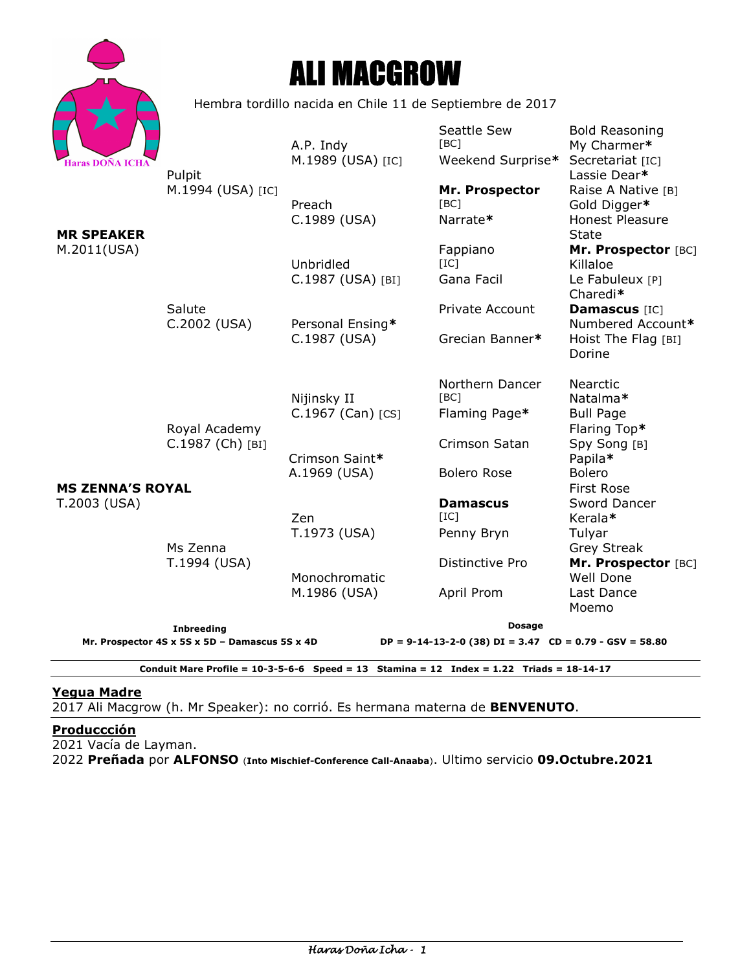

# ALI MACGROW

Hembra tordillo nacida en Chile 11 de Septiembre de 2017

|                                                            |                                                                     | A.P. Indy                                                                      | Seattle Sew<br>[BC]                      | <b>Bold Reasoning</b><br>My Charmer*                                  |
|------------------------------------------------------------|---------------------------------------------------------------------|--------------------------------------------------------------------------------|------------------------------------------|-----------------------------------------------------------------------|
| <b>Haras DOÑA ICHA</b><br><b>MR SPEAKER</b><br>M.2011(USA) | Pulpit<br>M.1994 (USA) [IC]                                         | M.1989 (USA) [IC]                                                              | Weekend Surprise*                        | Secretariat [IC]<br>Lassie Dear*                                      |
|                                                            |                                                                     | Preach<br>C.1989 (USA)                                                         | Mr. Prospector<br>[BC]<br>Narrate*       | Raise A Native [B]<br>Gold Digger*<br><b>Honest Pleasure</b>          |
|                                                            |                                                                     | Unbridled<br>C.1987 (USA) [BI]                                                 | Fappiano<br>[IC]<br>Gana Facil           | State<br>Mr. Prospector [BC]<br>Killaloe<br>Le Fabuleux [P]           |
|                                                            | Salute<br>C.2002 (USA)                                              | Personal Ensing*<br>C.1987 (USA)                                               | Private Account<br>Grecian Banner*       | Charedi*<br>Damascus [IC]<br>Numbered Account*<br>Hoist The Flag [BI] |
| <b>MS ZENNA'S ROYAL</b><br>T.2003 (USA)                    | Royal Academy<br>C.1987 (Ch) [BI]                                   |                                                                                |                                          | Dorine                                                                |
|                                                            |                                                                     | Nijinsky II<br>$C.1967$ (Can) [CS]                                             | Northern Dancer<br>[BC]<br>Flaming Page* | Nearctic<br>Natalma*<br><b>Bull Page</b><br>Flaring Top*              |
|                                                            |                                                                     | Crimson Saint*                                                                 | Crimson Satan                            | Spy Song [B]<br>Papila*                                               |
|                                                            | Ms Zenna<br>T.1994 (USA)                                            | A.1969 (USA)                                                                   | <b>Bolero Rose</b>                       | <b>Bolero</b><br><b>First Rose</b>                                    |
|                                                            |                                                                     | Zen<br>T.1973 (USA)                                                            | <b>Damascus</b><br>[IC]<br>Penny Bryn    | Sword Dancer<br>Kerala*<br>Tulyar                                     |
|                                                            |                                                                     |                                                                                | Distinctive Pro                          | <b>Grey Streak</b><br>Mr. Prospector [BC]                             |
|                                                            |                                                                     | Monochromatic<br>M.1986 (USA)                                                  | April Prom                               | <b>Well Done</b><br>Last Dance<br>Moemo                               |
|                                                            | <b>Inbreeding</b><br>Mr. Prospector 4S x 5S x 5D - Damascus 5S x 4D | <b>Dosage</b><br>$DP = 9-14-13-2-0$ (38) $DI = 3.47$ $CD = 0.79 - GSV = 58.80$ |                                          |                                                                       |
|                                                            |                                                                     |                                                                                |                                          |                                                                       |

**Conduit Mare Profile = 10-3-5-6-6 Speed = 13 Stamina = 12 Index = 1.22 Triads = 18-14-17** 

## **Yegua Madre**

2017 Ali Macgrow (h. Mr Speaker): no corrió. Es hermana materna de **BENVENUTO**.

#### **Produccción**

2021 Vacía de Layman.

2022 **Preñada** por **ALFONSO** (**Into Mischief-Conference Call-Anaaba**). Ultimo servicio **09.Octubre.2021**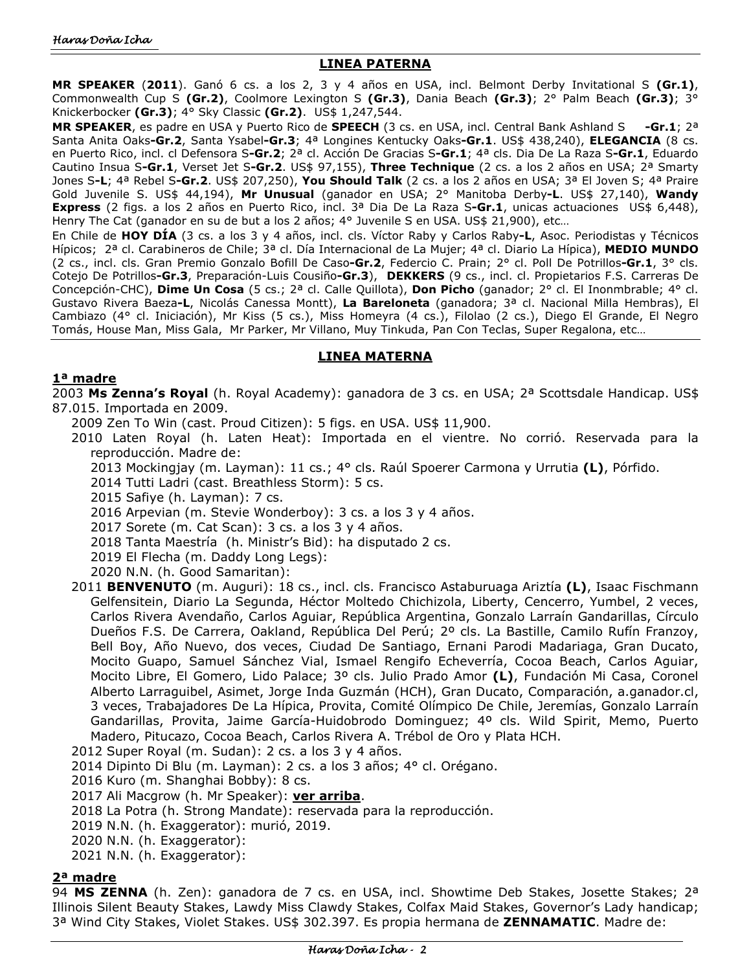### **LINEA PATERNA**

**MR SPEAKER** (**2011**). Ganó 6 cs. a los 2, 3 y 4 años en USA, incl. Belmont Derby Invitational S **(Gr.1)**, Commonwealth Cup S **(Gr.2)**, Coolmore Lexington S **(Gr.3)**, Dania Beach **(Gr.3)**; 2° Palm Beach **(Gr.3)**; 3° Knickerbocker **(Gr.3)**; 4° Sky Classic **(Gr.2)**. US\$ 1,247,544.

**MR SPEAKER**, es padre en USA y Puerto Rico de **SPEECH** (3 cs. en USA, incl. Central Bank Ashland S **-Gr.1**; 2ª Santa Anita Oaks**-Gr.2**, Santa Ysabel**-Gr.3**; 4ª Longines Kentucky Oaks**-Gr.1**. US\$ 438,240), **ELEGANCIA** (8 cs. en Puerto Rico, incl. cl Defensora S**-Gr.2**; 2ª cl. Acción De Gracias S**-Gr.1**; 4ª cls. Dia De La Raza S**-Gr.1**, Eduardo Cautino Insua S**-Gr.1**, Verset Jet S**-Gr.2**. US\$ 97,155), **Three Technique** (2 cs. a los 2 años en USA; 2ª Smarty Jones S**-L**; 4ª Rebel S**-Gr.2**. US\$ 207,250), **You Should Talk** (2 cs. a los 2 años en USA; 3ª El Joven S; 4ª Praire Gold Juvenile S. US\$ 44,194), **Mr Unusual** (ganador en USA; 2° Manitoba Derby**-L**. US\$ 27,140), **Wandy Express** (2 figs. a los 2 años en Puerto Rico, incl. 3ª Dia De La Raza S**-Gr.1**, unicas actuaciones US\$ 6,448), Henry The Cat (ganador en su de but a los 2 años; 4° Juvenile S en USA. US\$ 21,900), etc...

En Chile de **HOY DÍA** (3 cs. a los 3 y 4 años, incl. cls. Víctor Raby y Carlos Raby**-L**, Asoc. Periodistas y Técnicos Hípicos; 2ª cl. Carabineros de Chile; 3ª cl. Día Internacional de La Mujer; 4ª cl. Diario La Hípica), **MEDIO MUNDO**  (2 cs., incl. cls. Gran Premio Gonzalo Bofill De Caso**-Gr.2**, Federcio C. Prain; 2° cl. Poll De Potrillos**-Gr.1**, 3° cls. Cotejo De Potrillos**-Gr.3**, Preparación-Luis Cousiño**-Gr.3**), **DEKKERS** (9 cs., incl. cl. Propietarios F.S. Carreras De Concepción-CHC), **Dime Un Cosa** (5 cs.; 2ª cl. Calle Quillota), **Don Picho** (ganador; 2° cl. El Inonmbrable; 4° cl. Gustavo Rivera Baeza**-L**, Nicolás Canessa Montt), **La Bareloneta** (ganadora; 3ª cl. Nacional Milla Hembras), El Cambiazo (4° cl. Iniciación), Mr Kiss (5 cs.), Miss Homeyra (4 cs.), Filolao (2 cs.), Diego El Grande, El Negro Tomás, House Man, Miss Gala, Mr Parker, Mr Villano, Muy Tinkuda, Pan Con Teclas, Super Regalona, etc…

#### **LINEA MATERNA**

#### **1ª madre**

2003 **Ms Zenna's Royal** (h. Royal Academy): ganadora de 3 cs. en USA; 2ª Scottsdale Handicap. US\$ 87.015. Importada en 2009.

- 2009 Zen To Win (cast. Proud Citizen): 5 figs. en USA. US\$ 11,900.
- 2010 Laten Royal (h. Laten Heat): Importada en el vientre. No corrió. Reservada para la reproducción. Madre de:
	- 2013 Mockingjay (m. Layman): 11 cs.; 4° cls. Raúl Spoerer Carmona y Urrutia **(L)**, Pórfido.
	- 2014 Tutti Ladri (cast. Breathless Storm): 5 cs.
	- 2015 Safiye (h. Layman): 7 cs.
	- 2016 Arpevian (m. Stevie Wonderboy): 3 cs. a los 3 y 4 años.
	- 2017 Sorete (m. Cat Scan): 3 cs. a los 3 y 4 años.
	- 2018 Tanta Maestría (h. Ministr's Bid): ha disputado 2 cs.
	- 2019 El Flecha (m. Daddy Long Legs):
	- 2020 N.N. (h. Good Samaritan):
- 2011 **BENVENUTO** (m. Auguri): 18 cs., incl. cls. Francisco Astaburuaga Ariztía **(L)**, Isaac Fischmann Gelfensitein, Diario La Segunda, Héctor Moltedo Chichizola, Liberty, Cencerro, Yumbel, 2 veces, Carlos Rivera Avendaño, Carlos Aguiar, República Argentina, Gonzalo Larraín Gandarillas, Círculo Dueños F.S. De Carrera, Oakland, República Del Perú; 2º cls. La Bastille, Camilo Rufín Franzoy, Bell Boy, Año Nuevo, dos veces, Ciudad De Santiago, Ernani Parodi Madariaga, Gran Ducato, Mocito Guapo, Samuel Sánchez Vial, Ismael Rengifo Echeverría, Cocoa Beach, Carlos Aguiar, Mocito Libre, El Gomero, Lido Palace; 3º cls. Julio Prado Amor **(L)**, Fundación Mi Casa, Coronel Alberto Larraguibel, Asimet, Jorge Inda Guzmán (HCH), Gran Ducato, Comparación, a.ganador.cl, 3 veces, Trabajadores De La Hípica, Provita, Comité Olímpico De Chile, Jeremías, Gonzalo Larraín Gandarillas, Provita, Jaime García-Huidobrodo Dominguez; 4º cls. Wild Spirit, Memo, Puerto Madero, Pitucazo, Cocoa Beach, Carlos Rivera A. Trébol de Oro y Plata HCH.
- 2012 Super Royal (m. Sudan): 2 cs. a los 3 y 4 años.
- 2014 Dipinto Di Blu (m. Layman): 2 cs. a los 3 años; 4° cl. Orégano.
- 2016 Kuro (m. Shanghai Bobby): 8 cs.
- 2017 Ali Macgrow (h. Mr Speaker): **ver arriba**.
- 2018 La Potra (h. Strong Mandate): reservada para la reproducción.
- 2019 N.N. (h. Exaggerator): murió, 2019.
- 2020 N.N. (h. Exaggerator):
- 2021 N.N. (h. Exaggerator):

#### **2ª madre**

94 **MS ZENNA** (h. Zen): ganadora de 7 cs. en USA, incl. Showtime Deb Stakes, Josette Stakes; 2ª Illinois Silent Beauty Stakes, Lawdy Miss Clawdy Stakes, Colfax Maid Stakes, Governor's Lady handicap; 3ª Wind City Stakes, Violet Stakes. US\$ 302.397. Es propia hermana de **ZENNAMATIC**. Madre de: